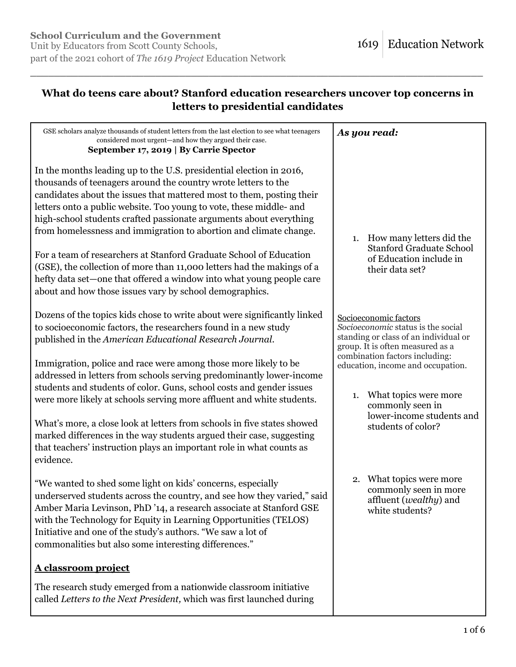# **What do teens care about? Stanford education researchers uncover top concerns in letters to presidential candidates**

| GSE scholars analyze thousands of student letters from the last election to see what teenagers                                                                                                                                                                                                                                                                                                                                                                                                                                                                                                                                                                                                                      | As you read:                                                                                                                                                              |
|---------------------------------------------------------------------------------------------------------------------------------------------------------------------------------------------------------------------------------------------------------------------------------------------------------------------------------------------------------------------------------------------------------------------------------------------------------------------------------------------------------------------------------------------------------------------------------------------------------------------------------------------------------------------------------------------------------------------|---------------------------------------------------------------------------------------------------------------------------------------------------------------------------|
| considered most urgent-and how they argued their case.<br>September 17, 2019   By Carrie Spector                                                                                                                                                                                                                                                                                                                                                                                                                                                                                                                                                                                                                    |                                                                                                                                                                           |
| In the months leading up to the U.S. presidential election in 2016,<br>thousands of teenagers around the country wrote letters to the<br>candidates about the issues that mattered most to them, posting their<br>letters onto a public website. Too young to vote, these middle- and<br>high-school students crafted passionate arguments about everything<br>from homelessness and immigration to abortion and climate change.<br>For a team of researchers at Stanford Graduate School of Education<br>(GSE), the collection of more than 11,000 letters had the makings of a<br>hefty data set—one that offered a window into what young people care<br>about and how those issues vary by school demographics. | 1. How many letters did the<br><b>Stanford Graduate School</b><br>of Education include in<br>their data set?                                                              |
| Dozens of the topics kids chose to write about were significantly linked<br>to socioeconomic factors, the researchers found in a new study<br>published in the American Educational Research Journal.                                                                                                                                                                                                                                                                                                                                                                                                                                                                                                               | Socioeconomic factors<br>Socioeconomic status is the social<br>standing or class of an individual or<br>group. It is often measured as a                                  |
| Immigration, police and race were among those more likely to be<br>addressed in letters from schools serving predominantly lower-income<br>students and students of color. Guns, school costs and gender issues<br>were more likely at schools serving more affluent and white students.                                                                                                                                                                                                                                                                                                                                                                                                                            | combination factors including:<br>education, income and occupation.<br>What topics were more<br>1.<br>commonly seen in<br>lower-income students and<br>students of color? |
| What's more, a close look at letters from schools in five states showed<br>marked differences in the way students argued their case, suggesting<br>that teachers' instruction plays an important role in what counts as<br>evidence.                                                                                                                                                                                                                                                                                                                                                                                                                                                                                |                                                                                                                                                                           |
| "We wanted to shed some light on kids' concerns, especially<br>underserved students across the country, and see how they varied," said<br>Amber Maria Levinson, PhD '14, a research associate at Stanford GSE<br>with the Technology for Equity in Learning Opportunities (TELOS)<br>Initiative and one of the study's authors. "We saw a lot of<br>commonalities but also some interesting differences."                                                                                                                                                                                                                                                                                                           | 2. What topics were more<br>commonly seen in more<br>affluent (wealthy) and<br>white students?                                                                            |
| A classroom project                                                                                                                                                                                                                                                                                                                                                                                                                                                                                                                                                                                                                                                                                                 |                                                                                                                                                                           |
| The research study emerged from a nationwide classroom initiative<br>called Letters to the Next President, which was first launched during                                                                                                                                                                                                                                                                                                                                                                                                                                                                                                                                                                          |                                                                                                                                                                           |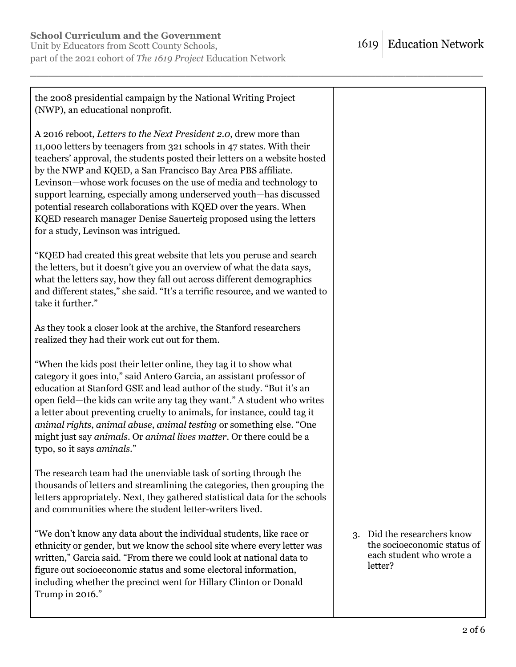Unit by Educators from Scott County Schools, part of the 2021 cohort of *The 1619 Project* Education Network

| the 2008 presidential campaign by the National Writing Project<br>(NWP), an educational nonprofit.                                                                                                                                                                                                                                                                                                                                                                                                                                                                                                                 |                                                                                                   |
|--------------------------------------------------------------------------------------------------------------------------------------------------------------------------------------------------------------------------------------------------------------------------------------------------------------------------------------------------------------------------------------------------------------------------------------------------------------------------------------------------------------------------------------------------------------------------------------------------------------------|---------------------------------------------------------------------------------------------------|
| A 2016 reboot, Letters to the Next President 2.0, drew more than<br>11,000 letters by teenagers from 321 schools in 47 states. With their<br>teachers' approval, the students posted their letters on a website hosted<br>by the NWP and KQED, a San Francisco Bay Area PBS affiliate.<br>Levinson-whose work focuses on the use of media and technology to<br>support learning, especially among underserved youth—has discussed<br>potential research collaborations with KQED over the years. When<br>KQED research manager Denise Sauerteig proposed using the letters<br>for a study, Levinson was intrigued. |                                                                                                   |
| "KQED had created this great website that lets you peruse and search<br>the letters, but it doesn't give you an overview of what the data says,<br>what the letters say, how they fall out across different demographics<br>and different states," she said. "It's a terrific resource, and we wanted to<br>take it further."                                                                                                                                                                                                                                                                                      |                                                                                                   |
| As they took a closer look at the archive, the Stanford researchers<br>realized they had their work cut out for them.                                                                                                                                                                                                                                                                                                                                                                                                                                                                                              |                                                                                                   |
| "When the kids post their letter online, they tag it to show what<br>category it goes into," said Antero Garcia, an assistant professor of<br>education at Stanford GSE and lead author of the study. "But it's an<br>open field—the kids can write any tag they want." A student who writes<br>a letter about preventing cruelty to animals, for instance, could tag it<br>animal rights, animal abuse, animal testing or something else. "One<br>might just say animals. Or animal lives matter. Or there could be a<br>typo, so it says aminals."                                                               |                                                                                                   |
| The research team had the unenviable task of sorting through the<br>thousands of letters and streamlining the categories, then grouping the<br>letters appropriately. Next, they gathered statistical data for the schools<br>and communities where the student letter-writers lived.                                                                                                                                                                                                                                                                                                                              |                                                                                                   |
| "We don't know any data about the individual students, like race or<br>ethnicity or gender, but we know the school site where every letter was<br>written," Garcia said. "From there we could look at national data to<br>figure out socioeconomic status and some electoral information,<br>including whether the precinct went for Hillary Clinton or Donald<br>Trump in 2016."                                                                                                                                                                                                                                  | 3. Did the researchers know<br>the socioeconomic status of<br>each student who wrote a<br>letter? |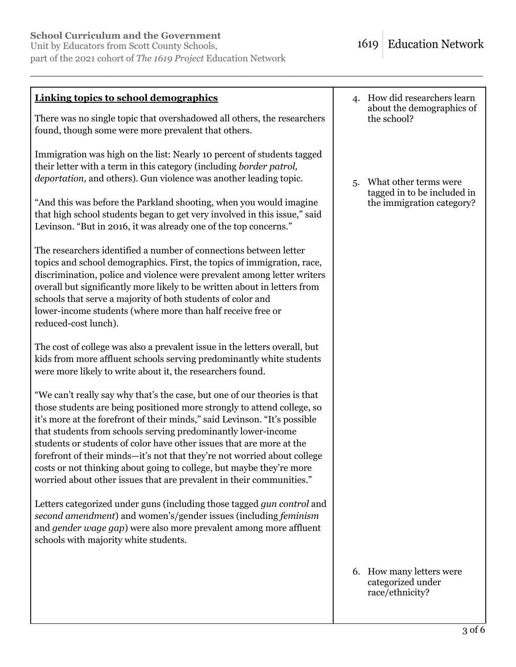Unit by Educators from Scott County Schools, part of the 2021 cohort of *The 1619 Project* Education Network

| <b>Linking topics to school demographics</b>                                                                                                                                                                                                                                                                                                                                                                                                                                                                                                                                                           | 4. How did researchers learn<br>about the demographics of<br>the school?                |
|--------------------------------------------------------------------------------------------------------------------------------------------------------------------------------------------------------------------------------------------------------------------------------------------------------------------------------------------------------------------------------------------------------------------------------------------------------------------------------------------------------------------------------------------------------------------------------------------------------|-----------------------------------------------------------------------------------------|
| There was no single topic that overshadowed all others, the researchers<br>found, though some were more prevalent that others.                                                                                                                                                                                                                                                                                                                                                                                                                                                                         |                                                                                         |
| Immigration was high on the list: Nearly 10 percent of students tagged<br>their letter with a term in this category (including border patrol,<br>deportation, and others). Gun violence was another leading topic.                                                                                                                                                                                                                                                                                                                                                                                     | What other terms were<br>5.<br>tagged in to be included in<br>the immigration category? |
| "And this was before the Parkland shooting, when you would imagine<br>that high school students began to get very involved in this issue," said<br>Levinson. "But in 2016, it was already one of the top concerns."                                                                                                                                                                                                                                                                                                                                                                                    |                                                                                         |
| The researchers identified a number of connections between letter<br>topics and school demographics. First, the topics of immigration, race,<br>discrimination, police and violence were prevalent among letter writers<br>overall but significantly more likely to be written about in letters from<br>schools that serve a majority of both students of color and<br>lower-income students (where more than half receive free or<br>reduced-cost lunch).                                                                                                                                             |                                                                                         |
| The cost of college was also a prevalent issue in the letters overall, but<br>kids from more affluent schools serving predominantly white students<br>were more likely to write about it, the researchers found.                                                                                                                                                                                                                                                                                                                                                                                       |                                                                                         |
| "We can't really say why that's the case, but one of our theories is that<br>those students are being positioned more strongly to attend college, so<br>it's more at the forefront of their minds," said Levinson. "It's possible<br>that students from schools serving predominantly lower-income<br>students or students of color have other issues that are more at the<br>forefront of their minds-it's not that they're not worried about college<br>costs or not thinking about going to college, but maybe they're more<br>worried about other issues that are prevalent in their communities." |                                                                                         |
| Letters categorized under guns (including those tagged <i>gun control</i> and<br>second amendment) and women's/gender issues (including feminism<br>and gender wage gap) were also more prevalent among more affluent<br>schools with majority white students.                                                                                                                                                                                                                                                                                                                                         |                                                                                         |
|                                                                                                                                                                                                                                                                                                                                                                                                                                                                                                                                                                                                        | 6. How many letters were<br>categorized under<br>race/ethnicity?                        |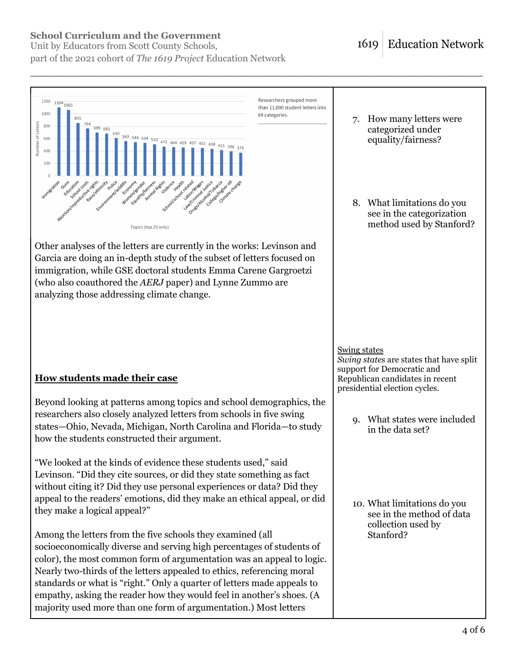Unit by Educators from Scott County Schools, part of the 2021 cohort of *The 1619 Project* Education Network

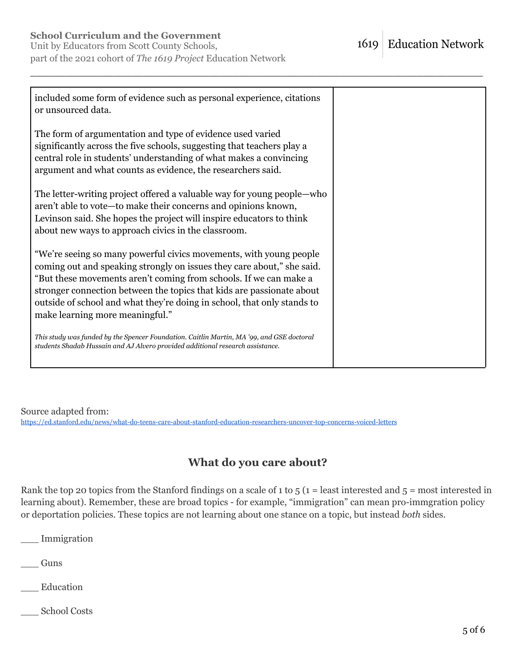Unit by Educators from Scott County Schools, part of the 2021 cohort of *The 1619 Project* Education Network

| included some form of evidence such as personal experience, citations<br>or unsourced data.                                                                                                                                                                                                                                                                                                              |  |
|----------------------------------------------------------------------------------------------------------------------------------------------------------------------------------------------------------------------------------------------------------------------------------------------------------------------------------------------------------------------------------------------------------|--|
| The form of argumentation and type of evidence used varied<br>significantly across the five schools, suggesting that teachers play a<br>central role in students' understanding of what makes a convincing<br>argument and what counts as evidence, the researchers said.                                                                                                                                |  |
| The letter-writing project offered a valuable way for young people—who<br>aren't able to vote-to make their concerns and opinions known,<br>Levinson said. She hopes the project will inspire educators to think<br>about new ways to approach civics in the classroom.                                                                                                                                  |  |
| "We're seeing so many powerful civics movements, with young people<br>coming out and speaking strongly on issues they care about," she said.<br>"But these movements aren't coming from schools. If we can make a<br>stronger connection between the topics that kids are passionate about<br>outside of school and what they're doing in school, that only stands to<br>make learning more meaningful." |  |
| This study was funded by the Spencer Foundation. Caitlin Martin, MA '99, and GSE doctoral<br>students Shadab Hussain and AJ Alvero provided additional research assistance.                                                                                                                                                                                                                              |  |

\_\_\_\_\_\_\_\_\_\_\_\_\_\_\_\_\_\_\_\_\_\_\_\_\_\_\_\_\_\_\_\_\_\_\_\_\_\_\_\_\_\_\_\_\_\_\_\_\_\_\_\_\_\_\_\_\_\_\_\_\_\_\_\_\_\_\_\_\_\_\_\_\_\_\_\_

Source adapted from: <https://ed.stanford.edu/news/what-do-teens-care-about-stanford-education-researchers-uncover-top-concerns-voiced-letters>

# **What do you care about?**

Rank the top 20 topics from the Stanford findings on a scale of 1 to  $5$  (1 = least interested and  $5$  = most interested in learning about). Remember, these are broad topics - for example, "immigration" can mean pro-immgration policy or deportation policies. These topics are not learning about one stance on a topic, but instead *both* sides.

\_\_\_ Immigration

\_\_\_ Guns

\_\_\_ Education

\_\_\_ School Costs